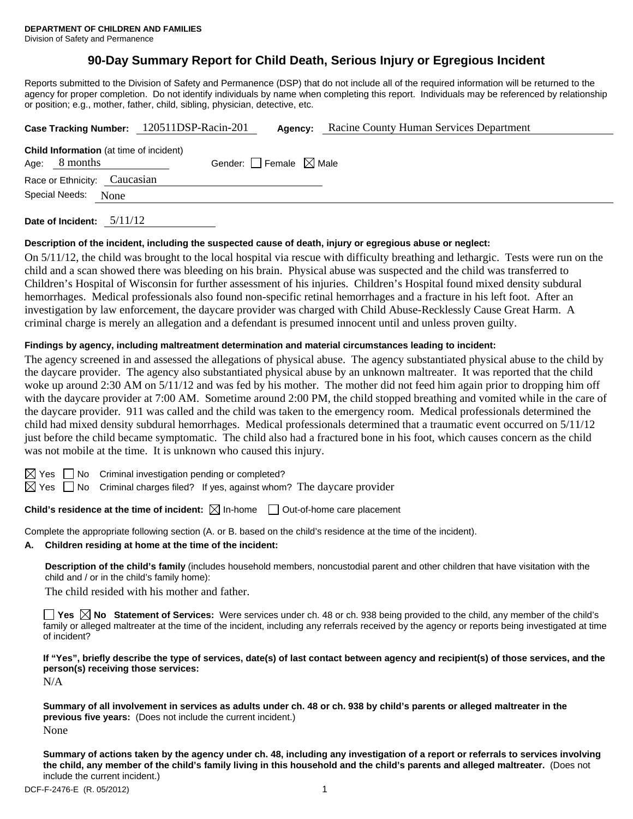# **90-Day Summary Report for Child Death, Serious Injury or Egregious Incident**

Reports submitted to the Division of Safety and Permanence (DSP) that do not include all of the required information will be returned to the agency for proper completion. Do not identify individuals by name when completing this report. Individuals may be referenced by relationship or position; e.g., mother, father, child, sibling, physician, detective, etc.

|                        |                              |                                                | Case Tracking Number: 120511DSP-Racin-201 | Agency: | Racine County Human Services Department |  |
|------------------------|------------------------------|------------------------------------------------|-------------------------------------------|---------|-----------------------------------------|--|
| Age:                   | 8 months                     | <b>Child Information</b> (at time of incident) | Gender: Female $\boxtimes$ Male           |         |                                         |  |
|                        | Race or Ethnicity: Caucasian |                                                |                                           |         |                                         |  |
| Special Needs:<br>None |                              |                                                |                                           |         |                                         |  |
|                        |                              |                                                |                                           |         |                                         |  |

**Date of Incident:** 5/11/12

# **Description of the incident, including the suspected cause of death, injury or egregious abuse or neglect:**

On 5/11/12, the child was brought to the local hospital via rescue with difficulty breathing and lethargic. Tests were run on the child and a scan showed there was bleeding on his brain. Physical abuse was suspected and the child was transferred to Children's Hospital of Wisconsin for further assessment of his injuries. Children's Hospital found mixed density subdural hemorrhages. Medical professionals also found non-specific retinal hemorrhages and a fracture in his left foot. After an investigation by law enforcement, the daycare provider was charged with Child Abuse-Recklessly Cause Great Harm. A criminal charge is merely an allegation and a defendant is presumed innocent until and unless proven guilty.

#### **Findings by agency, including maltreatment determination and material circumstances leading to incident:**

The agency screened in and assessed the allegations of physical abuse. The agency substantiated physical abuse to the child by the daycare provider. The agency also substantiated physical abuse by an unknown maltreater. It was reported that the child woke up around 2:30 AM on  $5/11/12$  and was fed by his mother. The mother did not feed him again prior to dropping him off with the daycare provider at 7:00 AM. Sometime around 2:00 PM, the child stopped breathing and vomited while in the care of the daycare provider. 911 was called and the child was taken to the emergency room. Medical professionals determined the child had mixed density subdural hemorrhages. Medical professionals determined that a traumatic event occurred on 5/11/12 just before the child became symptomatic. The child also had a fractured bone in his foot, which causes concern as the child was not mobile at the time. It is unknown who caused this injury.

 $\Box$  No Criminal investigation pending or completed?

 $\boxtimes$  Yes  $\Box$  No Criminal charges filed? If yes, against whom? The daycare provider

# **Child's residence at the time of incident:**  $\boxtimes$  In-home  $\Box$  Out-of-home care placement

Complete the appropriate following section (A. or B. based on the child's residence at the time of the incident).

**A. Children residing at home at the time of the incident:**

**Description of the child's family** (includes household members, noncustodial parent and other children that have visitation with the child and / or in the child's family home):

The child resided with his mother and father.

■ Yes △ No Statement of Services: Were services under ch. 48 or ch. 938 being provided to the child, any member of the child's family or alleged maltreater at the time of the incident, including any referrals received by the agency or reports being investigated at time of incident?

**If "Yes", briefly describe the type of services, date(s) of last contact between agency and recipient(s) of those services, and the person(s) receiving those services:** 

N/A

**Summary of all involvement in services as adults under ch. 48 or ch. 938 by child's parents or alleged maltreater in the previous five years:** (Does not include the current incident.) None

**Summary of actions taken by the agency under ch. 48, including any investigation of a report or referrals to services involving the child, any member of the child's family living in this household and the child's parents and alleged maltreater.** (Does not include the current incident.)